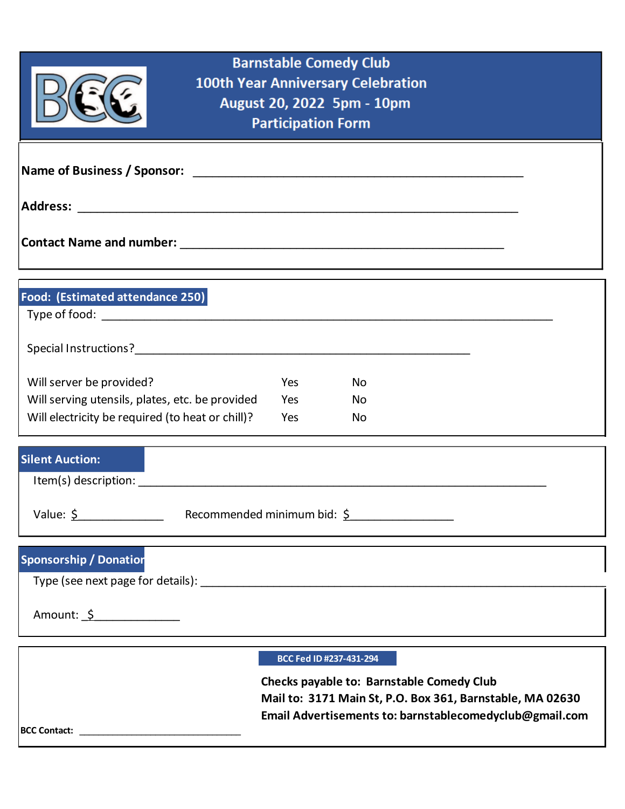| <b>Barnstable Comedy Club</b><br><b>100th Year Anniversary Celebration</b><br>August 20, 2022 5pm - 10pm<br><b>Participation Form</b>                                    |  |  |  |  |  |
|--------------------------------------------------------------------------------------------------------------------------------------------------------------------------|--|--|--|--|--|
|                                                                                                                                                                          |  |  |  |  |  |
|                                                                                                                                                                          |  |  |  |  |  |
|                                                                                                                                                                          |  |  |  |  |  |
| Food: (Estimated attendance 250)                                                                                                                                         |  |  |  |  |  |
|                                                                                                                                                                          |  |  |  |  |  |
| Will server be provided?<br>Yes<br>No.                                                                                                                                   |  |  |  |  |  |
| Will serving utensils, plates, etc. be provided<br>Yes<br>No.<br>Will electricity be required (to heat or chill)?<br>Yes<br>No.                                          |  |  |  |  |  |
| <b>Silent Auction:</b>                                                                                                                                                   |  |  |  |  |  |
| Value: $\frac{5}{2}$ Recommended minimum bid: $\frac{5}{2}$                                                                                                              |  |  |  |  |  |
| <b>Sponsorship / Donation</b>                                                                                                                                            |  |  |  |  |  |
| Amount: <u>\$</u>                                                                                                                                                        |  |  |  |  |  |
| BCC Fed ID #237-431-294                                                                                                                                                  |  |  |  |  |  |
| <b>Checks payable to: Barnstable Comedy Club</b><br>Mail to: 3171 Main St, P.O. Box 361, Barnstable, MA 02630<br>Email Advertisements to: barnstablecomedyclub@gmail.com |  |  |  |  |  |